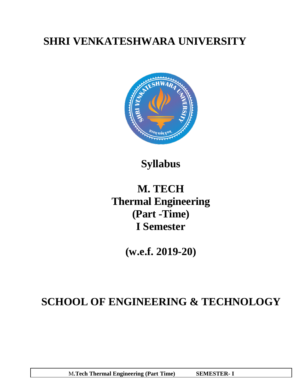# **SHRI VENKATESHWARA UNIVERSITY**



**Syllabus**

# **M. TECH Thermal Engineering (Part -Time) I Semester**

**(w.e.f. 2019-20)**

# **SCHOOL OF ENGINEERING & TECHNOLOGY**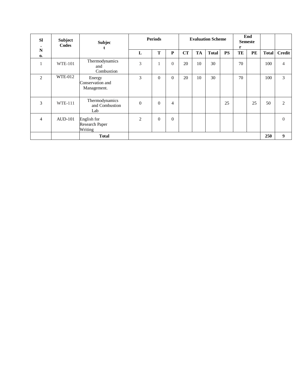| <b>SI</b><br>$\bullet$ | <b>Subject</b><br>Codes | <b>Subjec</b>                             | <b>Periods</b> |                |                | <b>Evaluation Scheme</b> |    |              |           | End<br><b>Semeste</b><br>r |           |              |                  |
|------------------------|-------------------------|-------------------------------------------|----------------|----------------|----------------|--------------------------|----|--------------|-----------|----------------------------|-----------|--------------|------------------|
| N<br>$\mathbf{0}$      |                         |                                           | L              | T              | $\mathbf P$    | CT                       | TA | <b>Total</b> | <b>PS</b> | TE                         | <b>PE</b> | <b>Total</b> | <b>Credit</b>    |
|                        | <b>WTE-101</b>          | Thermodynamics<br>and<br>Combustion       | 3              |                | $\theta$       | 20                       | 10 | 30           |           | 70                         |           | 100          | $\overline{4}$   |
| 2                      | <b>WTE-012</b>          | Energy<br>Conservation and<br>Management. | 3              | $\overline{0}$ | $\overline{0}$ | 20                       | 10 | 30           |           | 70                         |           | 100          | 3                |
| 3                      | <b>WTE-111</b>          | Thermodynamics<br>and Combustion<br>Lab   | $\theta$       | $\theta$       | $\overline{4}$ |                          |    |              | 25        |                            | 25        | 50           | 2                |
| 4                      | <b>AUD-101</b>          | English for<br>Research Paper<br>Writing  | $\overline{2}$ | $\Omega$       | $\Omega$       |                          |    |              |           |                            |           |              | $\Omega$         |
|                        |                         | <b>Total</b>                              |                |                |                |                          |    |              |           |                            |           | 250          | $\boldsymbol{9}$ |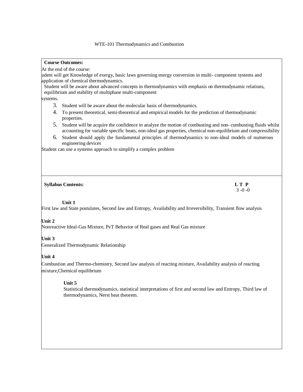## **Course Outcomes:**

At the end of the course:

udent will get Knowledge of exergy, basic laws governing energy conversion in multi- component systems and application of chemical thermodynamics.

Student will be aware about advanced concepts in thermodynamics with emphasis on thermodynamic relations, equilibrium and stability of multiphase multi-component

systems.

- 3. Student will be aware about the molecular basis of thermodynamics.
- 4. To present theoretical, semi-theoretical and empirical models for the prediction of thermodynamic properties.
- 5. Student will be acquire the confidence in analyze the motion of combusting and non- combusting fluids whilst accounting for variable specific heats, non-ideal gas properties, chemical non-equilibrium and compressibility
- 6. Student should apply the fundamental principles of thermodynamics to non-ideal models of numerous engineering devices

Student can use a systems approach to simplify a complex problem

#### **Syllabus Contents: L T P**

3 -0 -0

## **Unit 1**

First law and State postulates, Second law and Entropy, Availability and Irreversibility, Transient flow analysis

## **Unit 2**

Nonreactive Ideal-Gas Mixture, PvT Behavior of Real gases and Real Gas mixture

## **Unit 3**

Generalized Thermodynamic Relationship

## **Unit 4**

Combustion and Thermo-chemistry, Second law analysis of reacting mixture, Availability analysis of reacting mixture,Chemical equilibrium

## **Unit 5**

Statistical thermodynamics, statistical interpretations of first and second law and Entropy, Third law of thermodynamics, Nerst heat theorem.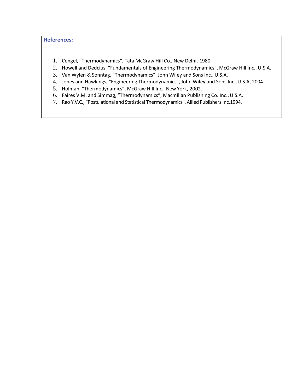# **References:**

- 1. Cengel, "Thermodynamics", Tata McGraw Hill Co., New Delhi, 1980.
- 2. Howell and Dedcius, "Fundamentals of Engineering Thermodynamics", McGraw Hill Inc., U.S.A.
- 3. Van Wylen & Sonntag, "Thermodynamics", John Wiley and Sons Inc., U.S.A.
- 4. Jones and Hawkings, "Engineering Thermodynamics", John Wiley and Sons Inc.,U.S.A, 2004.
- 5. Holman, "Thermodynamics", McGraw Hill Inc., New York, 2002.
- 6. Faires V.M. and Simmag, "Thermodynamics", Macmillan Publishing Co. Inc.,U.S.A.
- 7. Rao Y.V.C., "Postulational and Statistical Thermodynamics", Allied Publishers Inc,1994.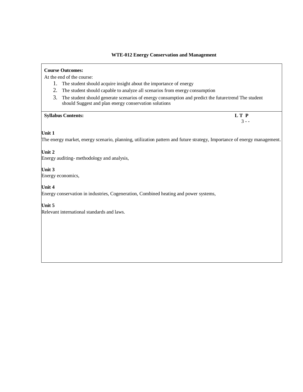## **Course Outcomes:**

At the end of the course:

- 1. The student should acquire insight about the importance of energy
- 2. The student should capable to analyze all scenarios from energy consumption
- 3. The student should generate scenarios of energy consumption and predict the futuretrend The student should Suggest and plan energy conservation solutions

## **Syllabus Contents: L T P**

3 - -

## **Unit 1**

The energy market, energy scenario, planning, utilization pattern and future strategy, Importance of energy management.

## **Unit 2**

Energy auditing- methodology and analysis,

## **Unit 3**

Energy economics,

## **Unit 4**

Energy conservation in industries, Cogeneration, Combined heating and power systems,

## **Unit 5**

Relevant international standards and laws.